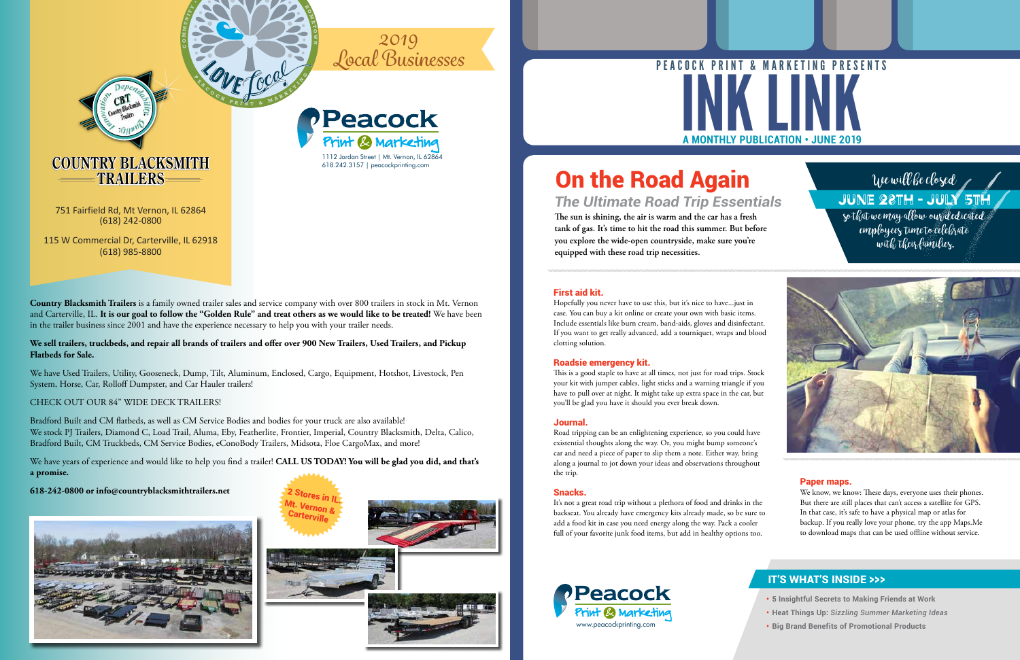- **• 5 Insightful Secrets to Making Friends at Work**
- **• Heat Things Up:** *Sizzling Summer Marketing Ideas*
- **• Big Brand Benefits of Promotional Products**

#### IT'S WHAT'S INSIDE >>>

**The sun is shining, the air is warm and the car has a fresh tank of gas. It's time to hit the road this summer. But before you explore the wide-open countryside, make sure you're equipped with these road trip necessities.**

*The Ultimate Road Trip Essentials*

#### First aid kit.

Hopefully you never have to use this, but it's nice to have...just in case. You can buy a kit online or create your own with basic items. Include essentials like burn cream, band-aids, gloves and disinfectant. If you want to get really advanced, add a tourniquet, wraps and blood clotting solution.

#### Roadsie emergency kit.

This is a good staple to have at all times, not just for road trips. Stock your kit with jumper cables, light sticks and a warning triangle if you have to pull over at night. It might take up extra space in the car, but you'll be glad you have it should you ever break down.

# **A MONTHLY PUBLICATION • JUNE 2019** PEACOCK PRINT & MARKETING PRESENTS

#### Journal.

# **TRAILERS** We will be closed **On the Road Again**

Road tripping can be an enlightening experience, so you could have existential thoughts along the way. Or, you might bump someone's car and need a piece of paper to slip them a note. Either way, bring along a journal to jot down your ideas and observations throughout the trip.

#### Snacks.

It's not a great road trip without a plethora of food and drinks in the backseat. You already have emergency kits already made, so be sure to add a food kit in case you need energy along the way. Pack a cooler full of your favorite junk food items, but add in healthy options too.

#### Paper maps.

employees time to celebrate with their families.



We know, we know: These days, everyone uses their phones. But there are still places that can't access a satellite for GPS. In that case, it's safe to have a physical map or atlas for backup. If you really love your phone, try the app Maps.Me to download maps that can be used offline without service.

**G**

**C O M M**

ANY 2

**O 名 E T O W N**

> 1112 Jordan Street | Mt. Vernon, IL 62864 618.242.3157 | peacockprinting.com

# *2019 Local Businesses*





**Country Blacksmith Trailers** is a family owned trailer sales and service company with over 800 trailers in stock in Mt. Vernon and Carterville, IL. **It is our goal to follow the "Golden Rule" and treat others as we would like to be treated!** We have been in the trailer business since 2001 and have the experience necessary to help you with your trailer needs.

#### **We sell trailers, truckbeds, and repair all brands of trailers and offer over 900 New Trailers, Used Trailers, and Pickup Flatbeds for Sale.**



We have Used Trailers, Utility, Gooseneck, Dump, Tilt, Aluminum, Enclosed, Cargo, Equipment, Hotshot, Livestock, Pen System, Horse, Car, Rolloff Dumpster, and Car Hauler trailers!

#### CHECK OUT OUR 84" WIDE DECK TRAILERS!

Bradford Built and CM flatbeds, as well as CM Service Bodies and bodies for your truck are also available! We stock PJ Trailers, Diamond C, Load Trail, Aluma, Eby, Featherlite, Frontier, Imperial, Country Blacksmith, Delta, Calico, Bradford Built, CM Truckbeds, CM Service Bodies, eConoBody Trailers, Midsota, Floe CargoMax, and more!

We have years of experience and would like to help you find a trailer! **CALL US TODAY! You will be glad you did, and that's a promise.**

**618-242-0800 or info@countryblacksmithtrailers.net**



751 Fairfield Rd, Mt Vernon, IL 62864 (618) 242-0800

115 W Commercial Dr, Carterville, IL 62918 (618) 985-8800

June 28th - July 5th so that we may allow our dedicated